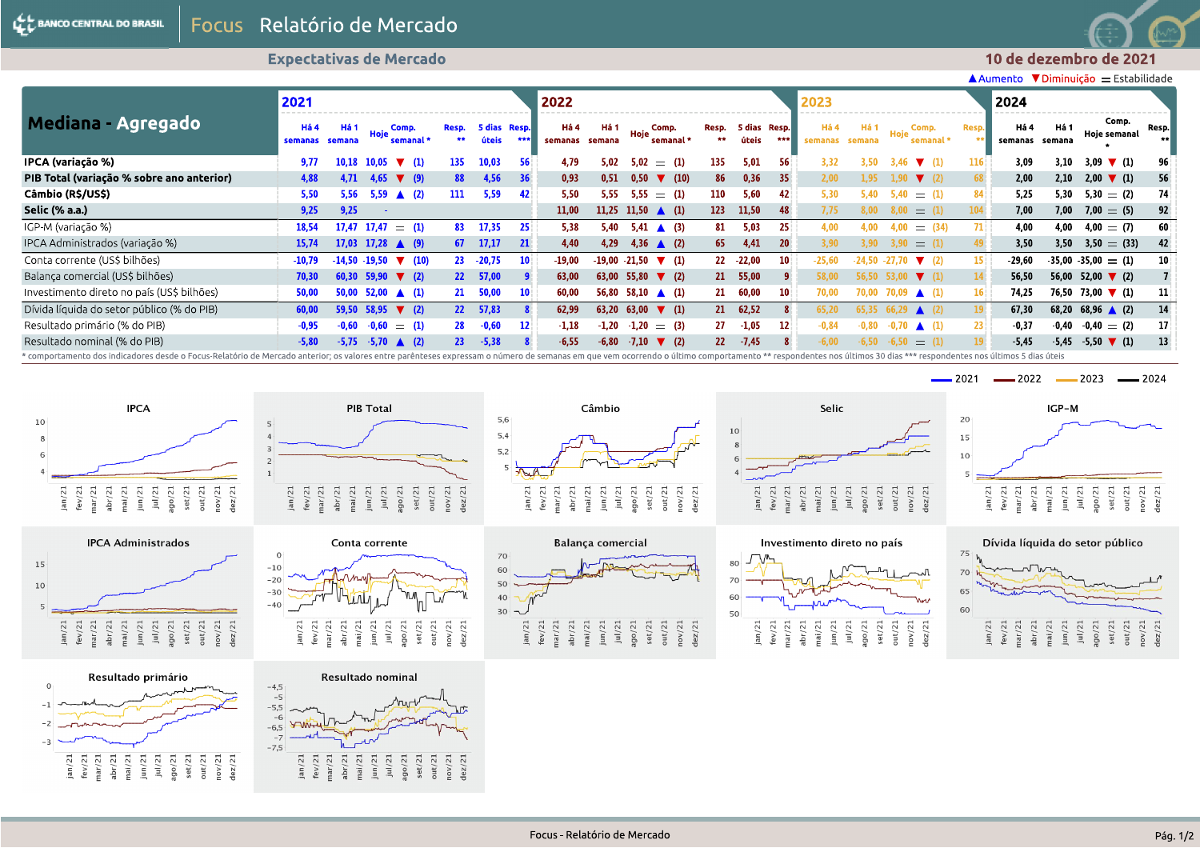**Expectativas de Mercado** 



 $\triangle$  Aumento  $\nabla$  Diminuição  $\equiv$  Estabilidade

|                                                                                                                                                                                                                                | 2021            |                |                                        |                           |                 |                       |                   | 2022                   |         |                                           |                 |                       |                 | 2023            |                |                                               |             | 2024                   |         |                                          |                 |
|--------------------------------------------------------------------------------------------------------------------------------------------------------------------------------------------------------------------------------|-----------------|----------------|----------------------------------------|---------------------------|-----------------|-----------------------|-------------------|------------------------|---------|-------------------------------------------|-----------------|-----------------------|-----------------|-----------------|----------------|-----------------------------------------------|-------------|------------------------|---------|------------------------------------------|-----------------|
| Mediana - Agregado                                                                                                                                                                                                             | Há 4<br>semanas | Há 1<br>semana | Comp.<br>Hoje                          | semanal *                 | Resp.<br>**     | 5 dias Resp.<br>úteis | ***               | Há 4<br>semanas semana | Há 1    | Comp.<br>Hoje<br>semanal *                | Resp.<br>**     | 5 dias Resp.<br>úteis | ***             | Há 4<br>semanas | Há 1<br>semana | Comp.<br>semanal *                            | <b>Resp</b> | Há 4<br>semanas semana | Há 1    | Comp.<br>Hoje semanal                    | Resp.           |
| IPCA (variação %)                                                                                                                                                                                                              | 9,77            | 10.18          | 10.05                                  | $\nabla$ (1)              | 135             | 10.03                 | 56                | 4.79                   | 5.02    | 5.02<br>$=$ (1)                           | 135             | 5.01                  | 56              | 3.32            | 3.50           | $\nabla$ (1)<br>3.46                          |             | 3.09                   | 3.10    | 3,09 $\blacktriangledown$ (1)            | 96              |
| PIB Total (variação % sobre ano anterior)                                                                                                                                                                                      | 4,88            | 4.71           | 4,65                                   | $\blacktriangledown$ (9)  | 88              | 4,56                  | 36                | 0,93                   | 0.51    | 0.50<br>$\blacktriangledown$ (10)         | 86              | 0,36                  | 35 <sup>2</sup> | 2.00            | 1.95           | 1.90 <sub>1</sub><br>$\blacktriangledown$ (2) |             | 2.00                   | 2,10    | $2,00$ $\blacktriangledown$ (1)          | 56              |
| Câmbio (R\$/US\$)                                                                                                                                                                                                              | 5,50            | 5.56           | $5,59$ $\triangle$ (2)                 |                           | 111             | 5.59                  | 42                | 5.50                   | 5.55    | $5,55 = (1)$                              | 110             | 5,60                  | 42              | 5.30            | 5.40           | $=$ (1)<br>5.40                               |             | 5.25                   | 5.30    | $5.30 = (2)$                             | 74              |
| Selic (% a.a.)                                                                                                                                                                                                                 | 9,25            | 9,25           |                                        |                           |                 |                       |                   | 11,00                  |         | 11,25 11,50 $\triangle$ (1)               | 123             | 11,50                 | 48              | 7,75            |                | (1)<br>$=$                                    |             | 7.00                   | 7,00    | $7.00 = (5)$                             | 92 <sub>1</sub> |
| IGP-M (variação %)                                                                                                                                                                                                             | 18,54           | 17.47          | 17.47                                  | $=$ (1)                   | 83              | 17,35                 | 25                | 5.38                   | 5.40    | $5.41 \triangle (3)$                      | 81              | 5,03                  | 25 <sup>1</sup> | 4.00            |                | (34)<br>$=$                                   |             | 4.00                   | 4.00    | $4.00 = (7)$                             | 60              |
| IPCA Administrados (variação %)                                                                                                                                                                                                | 15,74           |                | 17,03 17,28 $\triangle$ (9)            |                           | 67              | 17,17                 | 21                | 4.40                   | 4.29    | 4,36 $\triangle$ (2)                      | 65              | 4,41                  | 20              | 3,90            |                | $=$ (1)                                       |             | 3.50                   | 3.50    | $3,50 = (33)$                            | 42              |
| Conta corrente (US\$ bilhões)                                                                                                                                                                                                  | $-10,79$        | -14.50 -19.50  |                                        | $\blacktriangledown$ (10) | 23              | $-20,75$              | 10 <sup>1</sup>   | $-19,00$               |         | $-19.00 - 21.50$ $\blacktriangledown$ (1) |                 | $22 - 22,00$          | 10 <sup>1</sup> | -25.60          |                | $\blacktriangledown$ (2)<br>-27.70            |             | $-29.60$               |         | $-35,00 -35,00 = (1)$                    | 10 <sup>1</sup> |
| Balança comercial (US\$ bilhões)                                                                                                                                                                                               | 70,30           |                | 60,30 59,90 $\times$ (2)               |                           | 22              | 57,00                 |                   | 63.00                  |         | 63,00 55,80 $\blacktriangledown$ (2)      |                 | 21 55,00              |                 | 58,00           |                | $56,50$ $53,00$ $\blacktriangledown$ (1)      |             | 56,50                  |         | 56,00 52,00 $\blacktriangledown$ (2)     |                 |
| Investimento direto no país (US\$ bilhões)                                                                                                                                                                                     | 50,00           |                | $50,00$ $52,00$ $\triangle$ (1)        |                           | 21              | 50,00                 | 10                | 60.00                  |         | 56,80 58,10 $\triangle$ (1)               | 21              | 60,00                 | 10              | 70.00           |                | 70,00 70,09 $\triangle$ (1)                   | 16          | 74.25                  |         | 76,50 73,00 $\blacktriangledown$ (1)     | -11             |
| Dívida líquida do setor público (% do PIB)                                                                                                                                                                                     | 60,00           |                | $59,50$ 58,95 $\blacktriangledown$ (2) |                           | 22 <sup>2</sup> | 57,83                 |                   | 62,99                  | 63.20   | 63.00<br>$\blacktriangledown$ (1)         | 21              | 62,52                 |                 | 65,20           | 65.35          | $66,29$ (2)                                   |             | 67,30                  | 68,20   | $68,96$ (2)                              | 14              |
| Resultado primário (% do PIB)                                                                                                                                                                                                  | $-0,95$         | $-0.60$        | $-0,60$                                | $=$ (1)                   | 28              | $-0,60$               | $12 \overline{ }$ | $-1.18$                | $-1.20$ | $-1,20 = (3)$                             | 27              | $-1,05$               | 12              | $-0.84$         | 0.80           | $\triangle$ (1)                               |             | $-0.37$                | $-0.40$ | $-0.40 = (2)$                            | 17              |
| Resultado nominal (% do PIB)                                                                                                                                                                                                   | $-5,80$         | $-5,75$        | $-5,70$ $\triangle$ (2)                |                           | 23 <sup>2</sup> | $-5,38$               |                   | $-6.55$                | $-6,80$ | $-7,10$ $\blacktriangledown$ (2)          | 22 <sub>2</sub> | $-7,45$               |                 | $-6.00$         | $-6.50$        | $-6,50$<br>$=$ (1)                            |             | $-5.45$                |         | $-5,45$ $-5,50$ $\blacktriangledown$ (1) | 13              |
| * comportamento dos indicadores desde o Focus-Relatório de Mercado anterior; os valores entre parênteses expressam o número de semanas em que vem ocorrendo o último comportamento ** respondentes nos últimos 30 dias *** res |                 |                |                                        |                           |                 |                       |                   |                        |         |                                           |                 |                       |                 |                 |                |                                               |             |                        |         |                                          |                 |







 $\begin{array}{r} \frac{1}{2} \\ \frac{1}{2} \\ \frac{1}{2} \\ \frac{1}{2} \\ \frac{1}{2} \\ \frac{1}{2} \\ \frac{1}{2} \\ \frac{1}{2} \\ \frac{1}{2} \\ \frac{1}{2} \\ \frac{1}{2} \\ \frac{1}{2} \\ \frac{1}{2} \\ \frac{1}{2} \\ \frac{1}{2} \\ \frac{1}{2} \\ \frac{1}{2} \\ \frac{1}{2} \\ \frac{1}{2} \\ \frac{1}{2} \\ \frac{1}{2} \\ \frac{1}{2} \\ \frac{1}{2} \\ \frac{1}{2} \\ \frac{1}{2} \\ \frac{1}{2} \\ \frac{1}{$ 

 $-2$ 

 $-3$ 

 $jan/21$ 

 $\frac{fev/21}{max/21}$ 



PIB Total











 $-2021 -2022 -2023 -2024$